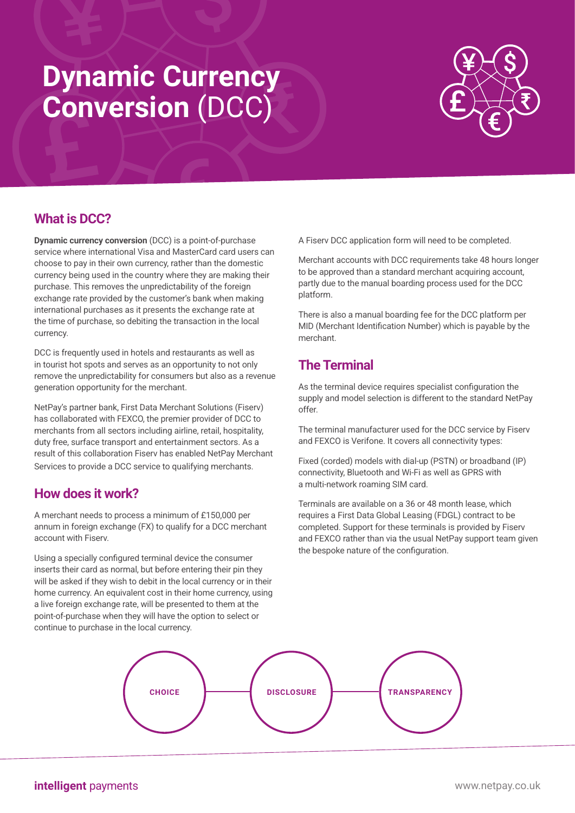# **Dynamic Currency Conversion** (DCC)



## **What is DCC?**

**Dynamic currency conversion** (DCC) is a point-of-purchase service where international Visa and MasterCard card users can choose to pay in their own currency, rather than the domestic currency being used in the country where they are making their purchase. This removes the unpredictability of the foreign exchange rate provided by the customer's bank when making international purchases as it presents the exchange rate at the time of purchase, so debiting the transaction in the local currency.

DCC is frequently used in hotels and restaurants as well as in tourist hot spots and serves as an opportunity to not only remove the unpredictability for consumers but also as a revenue generation opportunity for the merchant.

NetPay's partner bank, First Data Merchant Solutions (Fiserv) has collaborated with FEXCO, the premier provider of DCC to merchants from all sectors including airline, retail, hospitality, duty free, surface transport and entertainment sectors. As a result of this collaboration Fiserv has enabled NetPay Merchant Services to provide a DCC service to qualifying merchants.

### **How does it work?**

A merchant needs to process a minimum of £150,000 per annum in foreign exchange (FX) to qualify for a DCC merchant account with Fiserv.

Using a specially configured terminal device the consumer inserts their card as normal, but before entering their pin they will be asked if they wish to debit in the local currency or in their home currency. An equivalent cost in their home currency, using a live foreign exchange rate, will be presented to them at the point-of-purchase when they will have the option to select or continue to purchase in the local currency.

A Fiserv DCC application form will need to be completed.

Merchant accounts with DCC requirements take 48 hours longer to be approved than a standard merchant acquiring account, partly due to the manual boarding process used for the DCC platform.

There is also a manual boarding fee for the DCC platform per MID (Merchant Identification Number) which is payable by the merchant.

## **The Terminal**

As the terminal device requires specialist configuration the supply and model selection is different to the standard NetPay offer.

The terminal manufacturer used for the DCC service by Fiserv and FEXCO is Verifone. It covers all connectivity types:

Fixed (corded) models with dial-up (PSTN) or broadband (IP) connectivity, Bluetooth and Wi-Fi as well as GPRS with a multi-network roaming SIM card.

Terminals are available on a 36 or 48 month lease, which requires a First Data Global Leasing (FDGL) contract to be completed. Support for these terminals is provided by Fiserv and FEXCO rather than via the usual NetPay support team given the bespoke nature of the configuration.